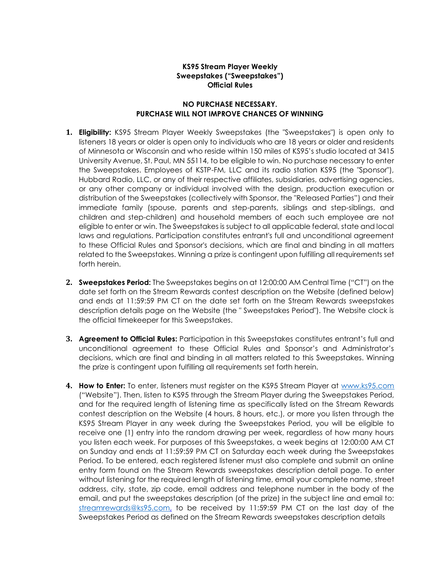## **KS95 Stream Player Weekly Sweepstakes ("Sweepstakes") Official Rules**

## **NO PURCHASE NECESSARY. PURCHASE WILL NOT IMPROVE CHANCES OF WINNING**

- **1. Eligibility:** KS95 Stream Player Weekly Sweepstakes (the "Sweepstakes") is open only to listeners 18 years or older is open only to individuals who are 18 years or older and residents of Minnesota or Wisconsin and who reside within 150 miles of KS95's studio located at 3415 University Avenue, St. Paul, MN 55114, to be eligible to win. No purchase necessary to enter the Sweepstakes. Employees of KSTP-FM, LLC and its radio station KS95 (the "Sponsor"), Hubbard Radio, LLC, or any of their respective affiliates, subsidiaries, advertising agencies, or any other company or individual involved with the design, production execution or distribution of the Sweepstakes (collectively with Sponsor, the "Released Parties") and their immediate family (spouse, parents and step-parents, siblings and step-siblings, and children and step-children) and household members of each such employee are not eligible to enter or win. The Sweepstakes is subject to all applicable federal, state and local laws and regulations. Participation constitutes entrant's full and unconditional agreement to these Official Rules and Sponsor's decisions, which are final and binding in all matters related to the Sweepstakes. Winning a prize is contingent upon fulfilling all requirements set forth herein.
- **2. Sweepstakes Period:** The Sweepstakes begins on at 12:00:00 AM Central Time ("CT") on the date set forth on the Stream Rewards contest description on the Website (defined below) and ends at 11:59:59 PM CT on the date set forth on the Stream Rewards sweepstakes description details page on the Website (the " Sweepstakes Period"). The Website clock is the official timekeeper for this Sweepstakes.
- **3. Agreement to Official Rules:** Participation in this Sweepstakes constitutes entrant's full and unconditional agreement to these Official Rules and Sponsor's and Administrator's decisions, which are final and binding in all matters related to this Sweepstakes. Winning the prize is contingent upon fulfilling all requirements set forth herein.
- **4. How to Enter:** To enter, listeners must register on the KS95 Stream Player at [www.ks95.com](http://www.ks95.com/) ("Website"). Then, listen to KS95 through the Stream Player during the Sweepstakes Period, and for the required length of listening time as specifically listed on the Stream Rewards contest description on the Website (4 hours, 8 hours, etc.), or more you listen through the KS95 Stream Player in any week during the Sweepstakes Period, you will be eligible to receive one (1) entry into the random drawing per week, regardless of how many hours you listen each week. For purposes of this Sweepstakes, a week begins at 12:00:00 AM CT on Sunday and ends at 11:59:59 PM CT on Saturday each week during the Sweepstakes Period. To be entered, each registered listener must also complete and submit an online entry form found on the Stream Rewards sweepstakes description detail page. To enter without listening for the required length of listening time, email your complete name, street address, city, state, zip code, email address and telephone number in the body of the email, and put the sweepstakes description (of the prize) in the subject line and email to: [streamrewards@ks95.com,](mailto:streamrewards@ks95.com) to be received by 11:59:59 PM CT on the last day of the Sweepstakes Period as defined on the Stream Rewards sweepstakes description details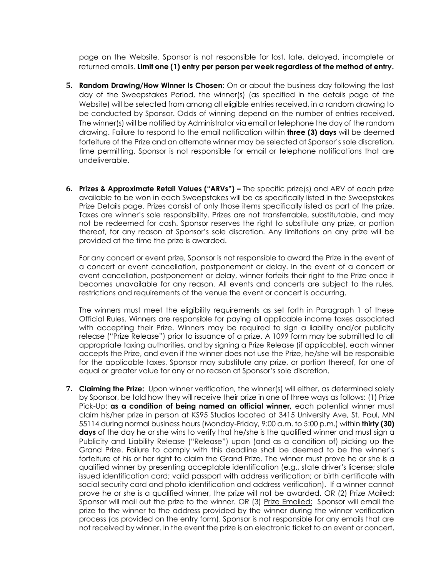page on the Website. Sponsor is not responsible for lost, late, delayed, incomplete or returned emails. **Limit one (1) entry per person per week regardless of the method of entry.**

- **5. Random Drawing/How Winner Is Chosen**: On or about the business day following the last day of the Sweepstakes Period, the winner(s) (as specified in the details page of the Website) will be selected from among all eligible entries received, in a random drawing to be conducted by Sponsor. Odds of winning depend on the number of entries received. The winner(s) will be notified by Administrator via email or telephone the day of the random drawing. Failure to respond to the email notification within **three (3) days** will be deemed forfeiture of the Prize and an alternate winner may be selected at Sponsor's sole discretion, time permitting. Sponsor is not responsible for email or telephone notifications that are undeliverable.
- **6. Prizes & Approximate Retail Values ("ARVs") –** The specific prize(s) and ARV of each prize available to be won in each Sweepstakes will be as specifically listed in the Sweepstakes Prize Details page. Prizes consist of only those items specifically listed as part of the prize. Taxes are winner's sole responsibility. Prizes are not transferrable, substitutable, and may not be redeemed for cash. Sponsor reserves the right to substitute any prize, or portion thereof, for any reason at Sponsor's sole discretion. Any limitations on any prize will be provided at the time the prize is awarded.

For any concert or event prize, Sponsor is not responsible to award the Prize in the event of a concert or event cancellation, postponement or delay. In the event of a concert or event cancellation, postponement or delay, winner forfeits their right to the Prize once it becomes unavailable for any reason. All events and concerts are subject to the rules, restrictions and requirements of the venue the event or concert is occurring.

The winners must meet the eligibility requirements as set forth in Paragraph 1 of these Official Rules. Winners are responsible for paying all applicable income taxes associated with accepting their Prize. Winners may be required to sign a liability and/or publicity release ("Prize Release") prior to issuance of a prize. A 1099 form may be submitted to all appropriate taxing authorities, and by signing a Prize Release (if applicable), each winner accepts the Prize, and even if the winner does not use the Prize, he/she will be responsible for the applicable taxes. Sponsor may substitute any prize, or portion thereof, for one of equal or greater value for any or no reason at Sponsor's sole discretion.

**7. Claiming the Prize:** Upon winner verification, the winner(s) will either, as determined solely by Sponsor, be told how they will receive their prize in one of three ways as follows: (1) Prize Pick-Up: **as a condition of being named an official winner,** each potential winner must claim his/her prize in person at KS95 Studios located at 3415 University Ave, St. Paul, MN 55114 during normal business hours (Monday-Friday, 9:00 a.m. to 5:00 p.m.) within **thirty (30)**  days of the day he or she wins to verify that he/she is the qualified winner and must sign a Publicity and Liability Release ("Release") upon (and as a condition of) picking up the Grand Prize. Failure to comply with this deadline shall be deemed to be the winner's forfeiture of his or her right to claim the Grand Prize. The winner must prove he or she is a qualified winner by presenting acceptable identification (e.g., state driver's license; state issued identification card; valid passport with address verification; or birth certificate with social security card and photo identification and address verification). If a winner cannot prove he or she is a qualified winner, the prize will not be awarded. OR (2) Prize Mailed: Sponsor will mail out the prize to the winner. OR (3) Prize Emailed: Sponsor will email the prize to the winner to the address provided by the winner during the winner verification process (as provided on the entry form). Sponsor is not responsible for any emails that are not received by winner. In the event the prize is an electronic ticket to an event or concert,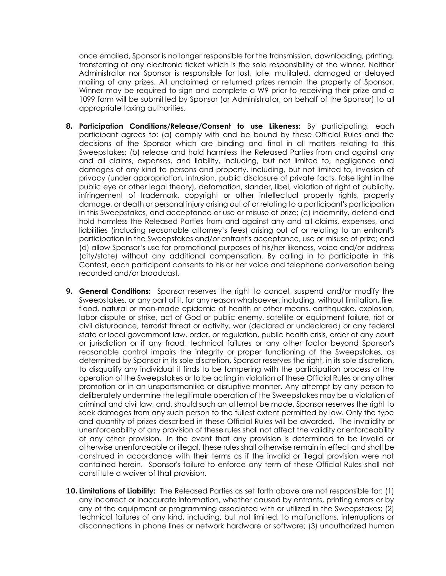once emailed, Sponsor is no longer responsible for the transmission, downloading, printing, transferring of any electronic ticket which is the sole responsibility of the winner. Neither Administrator nor Sponsor is responsible for lost, late, mutilated, damaged or delayed mailing of any prizes. All unclaimed or returned prizes remain the property of Sponsor. Winner may be required to sign and complete a W9 prior to receiving their prize and a 1099 form will be submitted by Sponsor (or Administrator, on behalf of the Sponsor) to all appropriate taxing authorities.

- **8. Participation Conditions/Release/Consent to use Likeness:** By participating, each participant agrees to: (a) comply with and be bound by these Official Rules and the decisions of the Sponsor which are binding and final in all matters relating to this Sweepstakes; (b) release and hold harmless the Released Parties from and against any and all claims, expenses, and liability, including, but not limited to, negligence and damages of any kind to persons and property, including, but not limited to, invasion of privacy (under appropriation, intrusion, public disclosure of private facts, false light in the public eye or other legal theory), defamation, slander, libel, violation of right of publicity, infringement of trademark, copyright or other intellectual property rights, property damage, or death or personal injury arising out of or relating to a participant's participation in this Sweepstakes, and acceptance or use or misuse of prize; (c) indemnify, defend and hold harmless the Released Parties from and against any and all claims, expenses, and liabilities (including reasonable attorney's fees) arising out of or relating to an entrant's participation in the Sweepstakes and/or entrant's acceptance, use or misuse of prize; and (d) allow Sponsor's use for promotional purposes of his/her likeness, voice and/or address (city/state) without any additional compensation. By calling in to participate in this Contest, each participant consents to his or her voice and telephone conversation being recorded and/or broadcast.
- **9. General Conditions:** Sponsor reserves the right to cancel, suspend and/or modify the Sweepstakes, or any part of it, for any reason whatsoever, including, without limitation, fire, flood, natural or man-made epidemic of health or other means, earthquake, explosion, labor dispute or strike, act of God or public enemy, satellite or equipment failure, riot or civil disturbance, terrorist threat or activity, war (declared or undeclared) or any federal state or local government law, order, or regulation, public health crisis, order of any court or jurisdiction or if any fraud, technical failures or any other factor beyond Sponsor's reasonable control impairs the integrity or proper functioning of the Sweepstakes, as determined by Sponsor in its sole discretion. Sponsor reserves the right, in its sole discretion, to disqualify any individual it finds to be tampering with the participation process or the operation of the Sweepstakes or to be acting in violation of these Official Rules or any other promotion or in an unsportsmanlike or disruptive manner. Any attempt by any person to deliberately undermine the legitimate operation of the Sweepstakes may be a violation of criminal and civil law, and, should such an attempt be made, Sponsor reserves the right to seek damages from any such person to the fullest extent permitted by law. Only the type and quantity of prizes described in these Official Rules will be awarded. The invalidity or unenforceability of any provision of these rules shall not affect the validity or enforceability of any other provision. In the event that any provision is determined to be invalid or otherwise unenforceable or illegal, these rules shall otherwise remain in effect and shall be construed in accordance with their terms as if the invalid or illegal provision were not contained herein. Sponsor's failure to enforce any term of these Official Rules shall not constitute a waiver of that provision.
- **10. Limitations of Liability:** The Released Parties as set forth above are not responsible for: (1) any incorrect or inaccurate information, whether caused by entrants, printing errors or by any of the equipment or programming associated with or utilized in the Sweepstakes; (2) technical failures of any kind, including, but not limited, to malfunctions, interruptions or disconnections in phone lines or network hardware or software; (3) unauthorized human